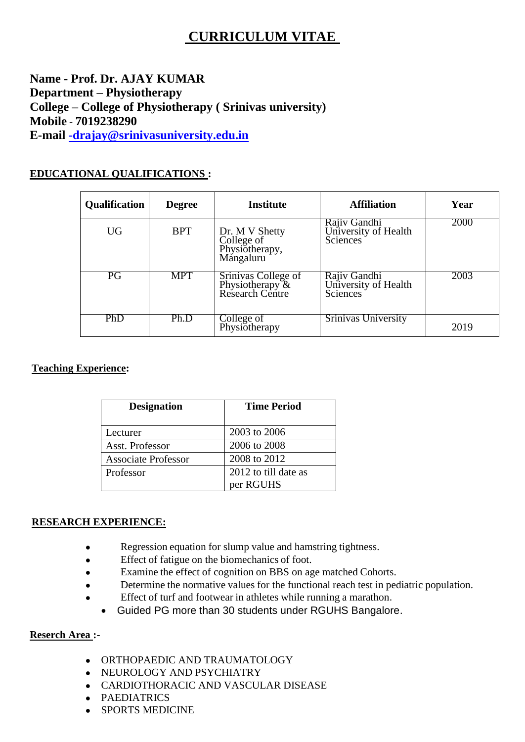# **CURRICULUM VITAE**

# **Name - Prof. Dr. AJAY KUMAR Department – Physiotherapy College – College of Physiotherapy ( Srinivas university) Mobile** - **7019238290 E-mail [-drajay@srinivasuniversity.edu.in](mailto:-drajay@srinivasuniversity.edu.in)**

## **EDUCATIONAL QUALIFICATIONS :**

| <b>Qualification</b> | <b>Degree</b> | <b>Institute</b>                                            | <b>Affiliation</b>                                      | Year |
|----------------------|---------------|-------------------------------------------------------------|---------------------------------------------------------|------|
| <b>UG</b>            | <b>BPT</b>    | Dr. M V Shetty<br>College of<br>Physiotherapy,<br>Mangaluru | Rajiv Gandhi<br>University of Health<br><b>Sciences</b> | 2000 |
| PG                   | MPT           | Srinivas College of<br>Physiotherapy &<br>Research Centre   | Rajiv Gandhi<br>University of Health<br><b>Sciences</b> | 2003 |
| PhD                  | Ph.D          | College of<br>Physiotherapy                                 | Srinivas University                                     | 2019 |

#### **Teaching Experience:**

| <b>Designation</b>         | <b>Time Period</b>   |  |
|----------------------------|----------------------|--|
|                            |                      |  |
| Lecturer                   | 2003 to 2006         |  |
| Asst. Professor            | 2006 to 2008         |  |
| <b>Associate Professor</b> | 2008 to 2012         |  |
| Professor                  | 2012 to till date as |  |
|                            | per RGUHS            |  |

#### **RESEARCH EXPERIENCE:**

- Regression equation for slump value and hamstring tightness.
- Effect of fatigue on the biomechanics of foot.
- Examine the effect of cognition on BBS on age matched Cohorts.
- Determine the normative values for the functional reach test in pediatric population.
- Effect of turf and footwear in athletes while running a marathon.
- Guided PG more than 30 students under RGUHS Bangalore.

#### **Reserch Area :-**

- ORTHOPAEDIC AND TRAUMATOLOGY
- NEUROLOGY AND PSYCHIATRY
- CARDIOTHORACIC AND VASCULAR DISEASE
- PAEDIATRICS
- SPORTS MEDICINE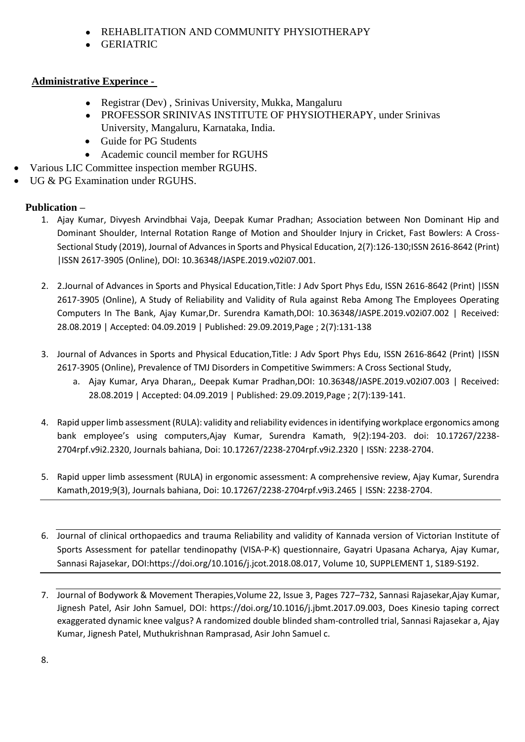- REHABLITATION AND COMMUNITY PHYSIOTHERAPY
- **GERIATRIC**

## **Administrative Experince -**

- **●** Registrar (Dev) , Srinivas University, Mukka, Mangaluru
- PROFESSOR SRINIVAS INSTITUTE OF PHYSIOTHERAPY, under Srinivas University, Mangaluru, Karnataka, India.
- Guide for PG Students
- Academic council member for RGUHS
- Various LIC Committee inspection member RGUHS.
- UG & PG Examination under RGUHS.

## **Publication –**

- 1. Ajay Kumar, Divyesh Arvindbhai Vaja, Deepak Kumar Pradhan; Association between Non Dominant Hip and Dominant Shoulder, Internal Rotation Range of Motion and Shoulder Injury in Cricket, Fast Bowlers: A Cross-Sectional Study (2019), Journal of Advances in Sports and Physical Education, 2(7):126-130;ISSN 2616-8642 (Print) |ISSN 2617-3905 (Online), DOI: 10.36348/JASPE.2019.v02i07.001.
- 2. 2.Journal of Advances in Sports and Physical Education,Title: J Adv Sport Phys Edu, ISSN 2616-8642 (Print) |ISSN 2617-3905 (Online), A Study of Reliability and Validity of Rula against Reba Among The Employees Operating Computers In The Bank, Ajay Kumar,Dr. Surendra Kamath,DOI: 10.36348/JASPE.2019.v02i07.002 | Received: 28.08.2019 | Accepted: 04.09.2019 | Published: 29.09.2019,Page ; 2(7):131-138
- 3. Journal of Advances in Sports and Physical Education,Title: J Adv Sport Phys Edu, ISSN 2616-8642 (Print) |ISSN 2617-3905 (Online), Prevalence of TMJ Disorders in Competitive Swimmers: A Cross Sectional Study,
	- a. Ajay Kumar, Arya Dharan,, Deepak Kumar Pradhan,DOI: 10.36348/JASPE.2019.v02i07.003 | Received: 28.08.2019 | Accepted: 04.09.2019 | Published: 29.09.2019,Page ; 2(7):139-141.
- 4. Rapid upper limb assessment (RULA): validity and reliability evidences in identifying workplace ergonomics among bank employee's using computers,Ajay Kumar, Surendra Kamath, 9(2):194-203. doi: 10.17267/2238- 2704rpf.v9i2.2320, Journals bahiana, Doi: 10.17267/2238-2704rpf.v9i2.2320 | ISSN: 2238-2704.
- 5. Rapid upper limb assessment (RULA) in ergonomic assessment: A comprehensive review, Ajay Kumar, Surendra Kamath,2019;9(3), Journals bahiana, Doi: 10.17267/2238-2704rpf.v9i3.2465 | ISSN: 2238-2704.
- 6. Journal of clinical orthopaedics and trauma Reliability and validity of Kannada version of Victorian Institute of Sports Assessment for patellar tendinopathy (VISA-P-K) questionnaire, Gayatri Upasana Acharya, Ajay Kumar, Sannasi Rajasekar, DOI[:https://doi.org/10.1016/j.jcot.2018.08.017,](https://doi.org/10.1016/j.jcot.2018.08.017) [Volume 10, SUPPLEMENT 1,](https://www.journal-cot.com/issue/S0976-5662(19)X0007-7) S189-S192.
- 7. Journal of Bodywork & Movement Therapies,Volume 22, Issue 3, Pages 727–732, [Sannasi Rajasekar,Ajay Kumar,](javascript:void(0);) [Jignesh Patel, Asir John Samuel,](javascript:void(0);) DOI: [https://doi.org/10.1016/j.jbmt.2017.09.003,](https://doi.org/10.1016/j.jbmt.2017.09.003) Does Kinesio taping correct exaggerated dynamic knee valgus? A randomized double blinded sham-controlled trial, Sannasi Rajasekar a, Ajay Kumar, Jignesh Patel, Muthukrishnan Ramprasad, Asir John Samuel c.